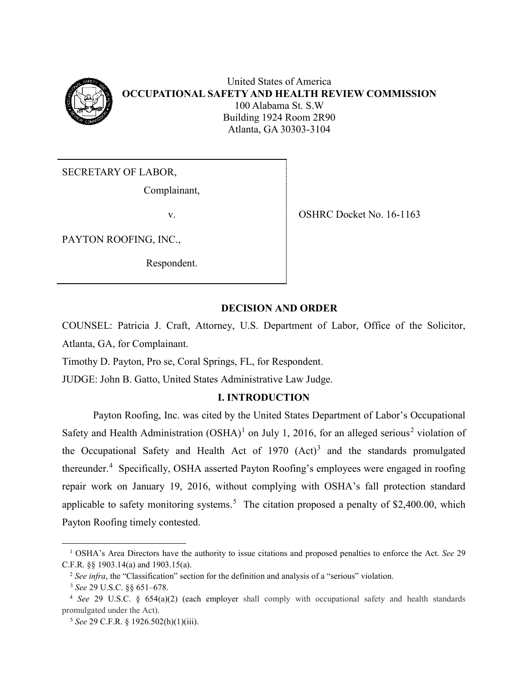

SECRETARY OF LABOR,

Complainant,

PAYTON ROOFING, INC.,

Respondent.

v. OSHRC Docket No. 16-1163

# **DECISION AND ORDER**

COUNSEL: Patricia J. Craft, Attorney, U.S. Department of Labor, Office of the Solicitor, Atlanta, GA, for Complainant.

Timothy D. Payton, Pro se, Coral Springs, FL, for Respondent.

JUDGE: John B. Gatto, United States Administrative Law Judge.

# **I. INTRODUCTION**

Payton Roofing, Inc. was cited by the United States Department of Labor's Occupational Safety and Health Administration  $(OSHA)^1$  $(OSHA)^1$  on July 1, [2](#page-0-1)016, for an alleged serious<sup>2</sup> violation of the Occupational Safety and Health Act of  $1970$   $(Act)^3$  $(Act)^3$  and the standards promulgated thereunder.<sup>[4](#page-0-3)</sup> Specifically, OSHA asserted Payton Roofing's employees were engaged in roofing repair work on January 19, 2016, without complying with OSHA's fall protection standard applicable to safety monitoring systems.<sup>[5](#page-0-4)</sup> The citation proposed a penalty of \$2,400.00, which Payton Roofing timely contested.

<span id="page-0-0"></span> <sup>1</sup> OSHA's Area Directors have the authority to issue citations and proposed penalties to enforce the Act. *See* <sup>29</sup> C.F.R. §§ 1903.14(a) and 1903.15(a).

<sup>2</sup> *See infra*, the "Classification" section for the definition and analysis of a "serious" violation.

<span id="page-0-3"></span><span id="page-0-2"></span><span id="page-0-1"></span><sup>3</sup> *See* 29 U.S.C. §§ 651–678. 4 *See* 29 U.S.C. § 654(a)(2) (each employer shall comply with occupational safety and health standards promulgated under the Act).

<span id="page-0-4"></span><sup>5</sup> *See* 29 C.F.R. § 1926.502(h)(1)(iii).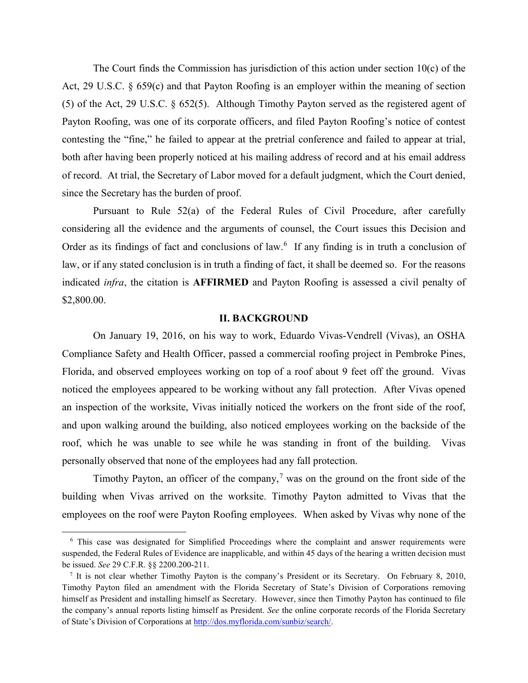The Court finds the Commission has jurisdiction of this action under section 10(c) of the Act, 29 U.S.C. § 659(c) and that Payton Roofing is an employer within the meaning of section (5) of the Act, 29 U.S.C. § 652(5). Although Timothy Payton served as the registered agent of Payton Roofing, was one of its corporate officers, and filed Payton Roofing's notice of contest contesting the "fine," he failed to appear at the pretrial conference and failed to appear at trial, both after having been properly noticed at his mailing address of record and at his email address of record. At trial, the Secretary of Labor moved for a default judgment, which the Court denied, since the Secretary has the burden of proof.

Pursuant to Rule 52(a) of the Federal Rules of Civil Procedure, after carefully considering all the evidence and the arguments of counsel, the Court issues this Decision and Order as its findings of fact and conclusions of law.<sup>[6](#page-1-0)</sup> If any finding is in truth a conclusion of law, or if any stated conclusion is in truth a finding of fact, it shall be deemed so. For the reasons indicated *infra*, the citation is **AFFIRMED** and Payton Roofing is assessed a civil penalty of \$2,800.00.

#### **II. BACKGROUND**

On January 19, 2016, on his way to work, Eduardo Vivas-Vendrell (Vivas), an OSHA Compliance Safety and Health Officer, passed a commercial roofing project in Pembroke Pines, Florida, and observed employees working on top of a roof about 9 feet off the ground. Vivas noticed the employees appeared to be working without any fall protection. After Vivas opened an inspection of the worksite, Vivas initially noticed the workers on the front side of the roof, and upon walking around the building, also noticed employees working on the backside of the roof, which he was unable to see while he was standing in front of the building. Vivas personally observed that none of the employees had any fall protection.

Timothy Payton, an officer of the company,<sup>[7](#page-1-1)</sup> was on the ground on the front side of the building when Vivas arrived on the worksite. Timothy Payton admitted to Vivas that the employees on the roof were Payton Roofing employees. When asked by Vivas why none of the

<span id="page-1-0"></span> <sup>6</sup> This case was designated for Simplified Proceedings where the complaint and answer requirements were suspended, the Federal Rules of Evidence are inapplicable, and within 45 days of the hearing a written decision must be issued. *See* 29 C.F.R. §§ 2200.200-211.

<span id="page-1-1"></span><sup>7</sup> It is not clear whether Timothy Payton is the company's President or its Secretary. On February 8, 2010, Timothy Payton filed an amendment with the Florida Secretary of State's Division of Corporations removing himself as President and installing himself as Secretary. However, since then Timothy Payton has continued to file the company's annual reports listing himself as President. *See* the online corporate records of the Florida Secretary of State's Division of Corporations at http://dos.myflorida.com/sunbiz/search/.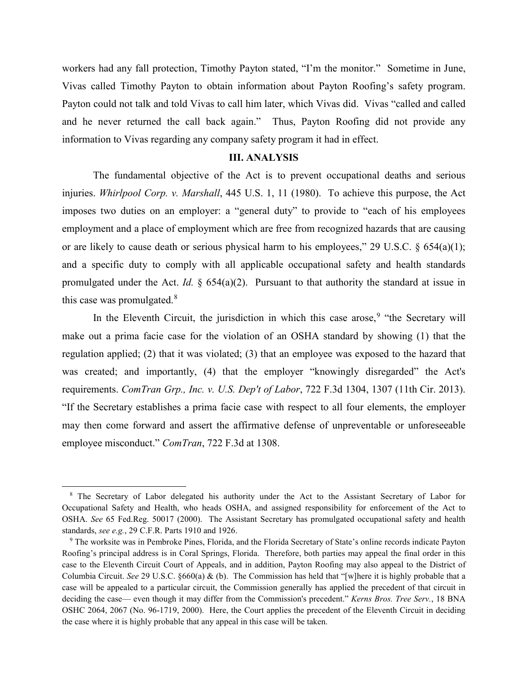workers had any fall protection, Timothy Payton stated, "I'm the monitor." Sometime in June, Vivas called Timothy Payton to obtain information about Payton Roofing's safety program. Payton could not talk and told Vivas to call him later, which Vivas did. Vivas "called and called and he never returned the call back again." Thus, Payton Roofing did not provide any information to Vivas regarding any company safety program it had in effect.

### **III. ANALYSIS**

The fundamental objective of the Act is to prevent occupational deaths and serious injuries. *Whirlpool Corp. v. Marshall*, 445 U.S. 1, 11 (1980). To achieve this purpose, the Act imposes two duties on an employer: a "general duty" to provide to "each of his employees employment and a place of employment which are free from recognized hazards that are causing or are likely to cause death or serious physical harm to his employees," 29 U.S.C.  $\S$  654(a)(1); and a specific duty to comply with all applicable occupational safety and health standards promulgated under the Act. *Id.* § 654(a)(2). Pursuant to that authority the standard at issue in this case was promulgated. $8$ 

In the Eleventh Circuit, the jurisdiction in which this case arose,  $9$  "the Secretary will make out a prima facie case for the violation of an OSHA standard by showing (1) that the regulation applied; (2) that it was violated; (3) that an employee was exposed to the hazard that was created; and importantly, (4) that the employer "knowingly disregarded" the Act's requirements. *ComTran Grp., Inc. v. U.S. Dep't of Labor*, 722 F.3d 1304, 1307 (11th Cir. 2013). "If the Secretary establishes a prima facie case with respect to all four elements, the employer may then come forward and assert the affirmative defense of unpreventable or unforeseeable employee misconduct." *ComTran*, 722 F.3d at 1308.

<span id="page-2-0"></span> <sup>8</sup> The Secretary of Labor delegated his authority under the Act to the Assistant Secretary of Labor for Occupational Safety and Health, who heads OSHA, and assigned responsibility for enforcement of the Act to OSHA. *See* 65 Fed.Reg. 50017 (2000). The Assistant Secretary has promulgated occupational safety and health standards, *see e.g.*, 29 C.F.R. Parts 1910 and 1926.<br><sup>9</sup> The worksite was in Pembroke Pines, Florida, and the Florida Secretary of State's online records indicate Payton

<span id="page-2-1"></span>Roofing's principal address is in Coral Springs, Florida. Therefore, both parties may appeal the final order in this case to the Eleventh Circuit Court of Appeals, and in addition, Payton Roofing may also appeal to the District of Columbia Circuit. *See* 29 U.S.C. §660(a) & (b). The Commission has held that "[w]here it is highly probable that a case will be appealed to a particular circuit, the Commission generally has applied the precedent of that circuit in deciding the case— even though it may differ from the Commission's precedent." *Kerns Bros. Tree Serv.*, 18 BNA OSHC 2064, 2067 (No. 96-1719, 2000). Here, the Court applies the precedent of the Eleventh Circuit in deciding the case where it is highly probable that any appeal in this case will be taken.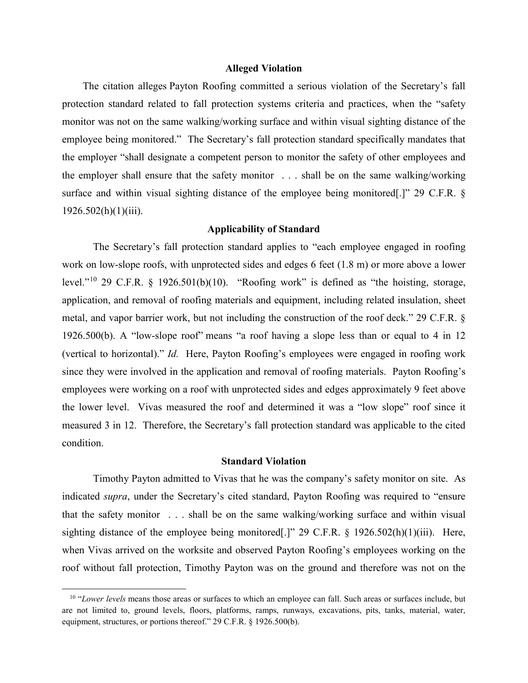#### **Alleged Violation**

The citation alleges Payton Roofing committed a serious violation of the Secretary's fall protection standard related to fall protection systems criteria and practices, when the "safety monitor was not on the same walking/working surface and within visual sighting distance of the employee being monitored." The Secretary's fall protection standard specifically mandates that the employer "shall designate a competent person to monitor the safety of other employees and the employer shall ensure that the safety monitor . . . shall be on the same walking/working surface and within visual sighting distance of the employee being monitored[.]" 29 C.F.R. §  $1926.502(h)(1)(iii)$ .

## **Applicability of Standard**

The Secretary's fall protection standard applies to "each employee engaged in roofing work on low-slope roofs, with unprotected sides and edges 6 feet (1.8 m) or more above a lower level."[10](#page-3-0) 29 C.F.R. § 1926.501(b)(10). "Roofing work" is defined as "the hoisting, storage, application, and removal of roofing materials and equipment, including related insulation, sheet metal, and vapor barrier work, but not including the construction of the roof deck." 29 C.F.R. § 1926.500(b). A "low-slope roof" means "a roof having a slope less than or equal to 4 in 12 (vertical to horizontal)." *Id.* Here, Payton Roofing's employees were engaged in roofing work since they were involved in the application and removal of roofing materials. Payton Roofing's employees were working on a roof with unprotected sides and edges approximately 9 feet above the lower level. Vivas measured the roof and determined it was a "low slope" roof since it measured 3 in 12. Therefore, the Secretary's fall protection standard was applicable to the cited condition.

### **Standard Violation**

Timothy Payton admitted to Vivas that he was the company's safety monitor on site. As indicated *supra*, under the Secretary's cited standard, Payton Roofing was required to "ensure that the safety monitor . . . shall be on the same walking/working surface and within visual sighting distance of the employee being monitored.]" 29 C.F.R.  $\frac{1}{2}$  1926.502(h)(1)(iii). Here, when Vivas arrived on the worksite and observed Payton Roofing's employees working on the roof without fall protection, Timothy Payton was on the ground and therefore was not on the

<span id="page-3-0"></span> <sup>10 &</sup>quot;*Lower levels* means those areas or surfaces to which an employee can fall. Such areas or surfaces include, but are not limited to, ground levels, floors, platforms, ramps, runways, excavations, pits, tanks, material, water, equipment, structures, or portions thereof." 29 C.F.R. § 1926.500(b).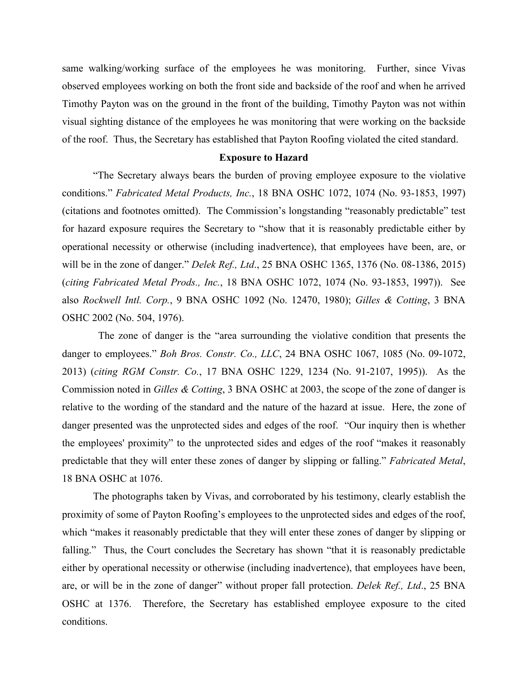same walking/working surface of the employees he was monitoring. Further, since Vivas observed employees working on both the front side and backside of the roof and when he arrived Timothy Payton was on the ground in the front of the building, Timothy Payton was not within visual sighting distance of the employees he was monitoring that were working on the backside of the roof. Thus, the Secretary has established that Payton Roofing violated the cited standard.

### **Exposure to Hazard**

"The Secretary always bears the burden of proving employee exposure to the violative conditions." *Fabricated Metal Products, Inc.*, 18 BNA OSHC 1072, 1074 (No. 93-1853, 1997) (citations and footnotes omitted). The Commission's longstanding "reasonably predictable" test for hazard exposure requires the Secretary to "show that it is reasonably predictable either by operational necessity or otherwise (including inadvertence), that employees have been, are, or will be in the zone of danger." *Delek Ref., Ltd*., 25 BNA OSHC 1365, 1376 (No. 08-1386, 2015) (*citing Fabricated Metal Prods., Inc.*, 18 BNA OSHC 1072, 1074 (No. 93-1853, 1997)). See also *Rockwell Intl. Corp.*, 9 BNA OSHC 1092 (No. 12470, 1980); *Gilles & Cotting*, 3 BNA OSHC 2002 (No. 504, 1976).

 The zone of danger is the "area surrounding the violative condition that presents the danger to employees." *Boh Bros. Constr. Co., LLC*, 24 BNA OSHC 1067, 1085 (No. 09-1072, 2013) (*citing RGM Constr. Co.*, 17 BNA OSHC 1229, 1234 (No. 91-2107, 1995)). As the Commission noted in *Gilles & Cotting*, 3 BNA OSHC at 2003, the scope of the zone of danger is relative to the wording of the standard and the nature of the hazard at issue. Here, the zone of danger presented was the unprotected sides and edges of the roof. "Our inquiry then is whether the employees' proximity" to the unprotected sides and edges of the roof "makes it reasonably predictable that they will enter these zones of danger by slipping or falling." *Fabricated Metal*, 18 BNA OSHC at 1076.

The photographs taken by Vivas, and corroborated by his testimony, clearly establish the proximity of some of Payton Roofing's employees to the unprotected sides and edges of the roof, which "makes it reasonably predictable that they will enter these zones of danger by slipping or falling." Thus, the Court concludes the Secretary has shown "that it is reasonably predictable either by operational necessity or otherwise (including inadvertence), that employees have been, are, or will be in the zone of danger" without proper fall protection. *Delek Ref., Ltd*., 25 BNA OSHC at 1376. Therefore, the Secretary has established employee exposure to the cited conditions.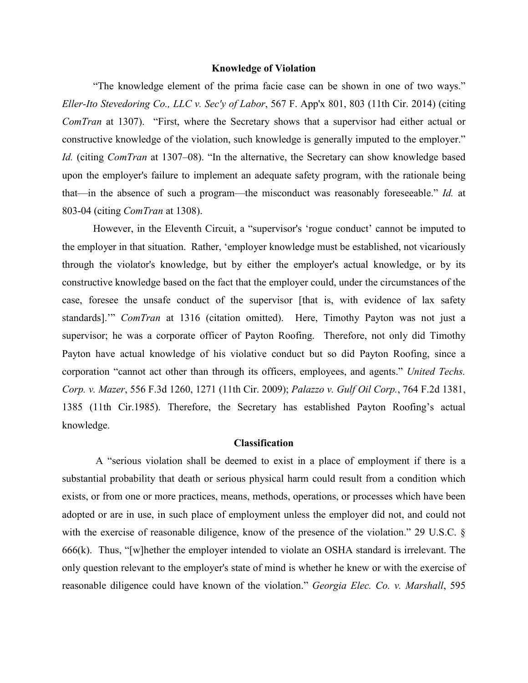#### **Knowledge of Violation**

"The knowledge element of the prima facie case can be shown in one of two ways." *Eller-Ito Stevedoring Co., LLC v. Sec'y of Labor*, 567 F. App'x 801, 803 (11th Cir. 2014) (citing *ComTran* at 1307). "First, where the Secretary shows that a supervisor had either actual or constructive knowledge of the violation, such knowledge is generally imputed to the employer." *Id.* (citing *ComTran* at 1307–08). "In the alternative, the Secretary can show knowledge based upon the employer's failure to implement an adequate safety program, with the rationale being that—in the absence of such a program—the misconduct was reasonably foreseeable." *Id.* at 803-04 (citing *ComTran* at 1308).

However, in the Eleventh Circuit, a "supervisor's 'rogue conduct' cannot be imputed to the employer in that situation. Rather, 'employer knowledge must be established, not vicariously through the violator's knowledge, but by either the employer's actual knowledge, or by its constructive knowledge based on the fact that the employer could, under the circumstances of the case, foresee the unsafe conduct of the supervisor [that is, with evidence of lax safety standards].'" *ComTran* at 1316 (citation omitted). Here, Timothy Payton was not just a supervisor; he was a corporate officer of Payton Roofing. Therefore, not only did Timothy Payton have actual knowledge of his violative conduct but so did Payton Roofing, since a corporation "cannot act other than through its officers, employees, and agents." *United Techs. Corp. v. Mazer*, 556 F.3d 1260, 1271 (11th Cir. 2009); *Palazzo v. Gulf Oil Corp.*, 764 F.2d 1381, 1385 (11th Cir.1985). Therefore, the Secretary has established Payton Roofing's actual knowledge.

## **Classification**

A "serious violation shall be deemed to exist in a place of employment if there is a substantial probability that death or serious physical harm could result from a condition which exists, or from one or more practices, means, methods, operations, or processes which have been adopted or are in use, in such place of employment unless the employer did not, and could not with the exercise of reasonable diligence, know of the presence of the violation." 29 U.S.C. § 666(k). Thus, "[w]hether the employer intended to violate an OSHA standard is irrelevant. The only question relevant to the employer's state of mind is whether he knew or with the exercise of reasonable diligence could have known of the violation." *Georgia Elec. Co. v. Marshall*, 595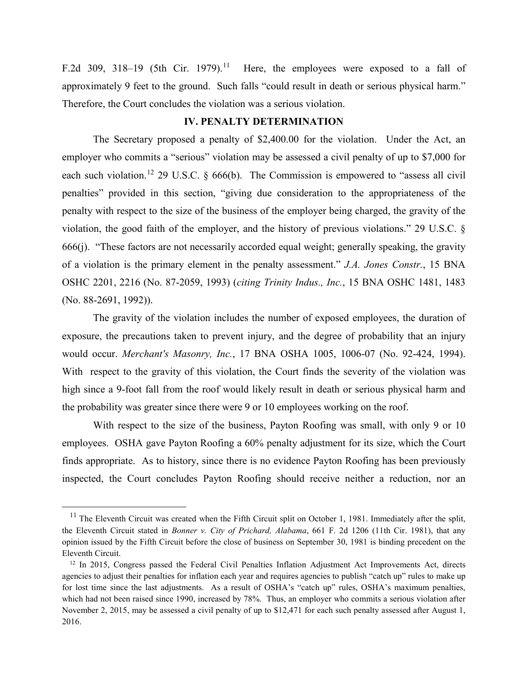F.2d 309, 318–19 (5th Cir. 1979).<sup>11</sup> Here, the employees were exposed to a fall of approximately 9 feet to the ground. Such falls "could result in death or serious physical harm." Therefore, the Court concludes the violation was a serious violation.

### **IV. PENALTY DETERMINATION**

The Secretary proposed a penalty of \$2,400.00 for the violation. Under the Act, an employer who commits a "serious" violation may be assessed a civil penalty of up to \$7,000 for each such violation.<sup>[12](#page-6-1)</sup> 29 U.S.C.  $\&$  666(b). The Commission is empowered to "assess all civil penalties" provided in this section, "giving due consideration to the appropriateness of the penalty with respect to the size of the business of the employer being charged, the gravity of the violation, the good faith of the employer, and the history of previous violations." 29 U.S.C. § 666(j). "These factors are not necessarily accorded equal weight; generally speaking, the gravity of a violation is the primary element in the penalty assessment." *J.A. Jones Constr.*, 15 BNA OSHC 2201, 2216 (No. 87-2059, 1993) (*citing Trinity Indus., Inc.*, 15 BNA OSHC 1481, 1483 (No. 88-2691, 1992)).

The gravity of the violation includes the number of exposed employees, the duration of exposure, the precautions taken to prevent injury, and the degree of probability that an injury would occur. *Merchant's Masonry, Inc.*, 17 BNA OSHA 1005, 1006-07 (No. 92-424, 1994). With respect to the gravity of this violation, the Court finds the severity of the violation was high since a 9-foot fall from the roof would likely result in death or serious physical harm and the probability was greater since there were 9 or 10 employees working on the roof.

With respect to the size of the business, Payton Roofing was small, with only 9 or 10 employees. OSHA gave Payton Roofing a 60% penalty adjustment for its size, which the Court finds appropriate. As to history, since there is no evidence Payton Roofing has been previously inspected, the Court concludes Payton Roofing should receive neither a reduction, nor an

 $\overline{a}$ 

<span id="page-6-0"></span> $11$  The Eleventh Circuit was created when the Fifth Circuit split on October 1, 1981. Immediately after the split, the Eleventh Circuit stated in *Bonner v. City of Prichard, Alabama*, 661 F. 2d 1206 (11th Cir. 1981), that any opinion issued by the Fifth Circuit before the close of business on September 30, 1981 is binding precedent on the Eleventh Circuit.<br><sup>12</sup> In 2015, Congress passed the Federal Civil Penalties Inflation Adjustment Act Improvements Act, directs

<span id="page-6-1"></span>agencies to adjust their penalties for inflation each year and requires agencies to publish "catch up" rules to make up for lost time since the last adjustments. As a result of OSHA's "catch up" rules, OSHA's maximum penalties, which had not been raised since 1990, increased by 78%. Thus, an employer who commits a serious violation after November 2, 2015, may be assessed a civil penalty of up to \$12,471 for each such penalty assessed after August 1, 2016.